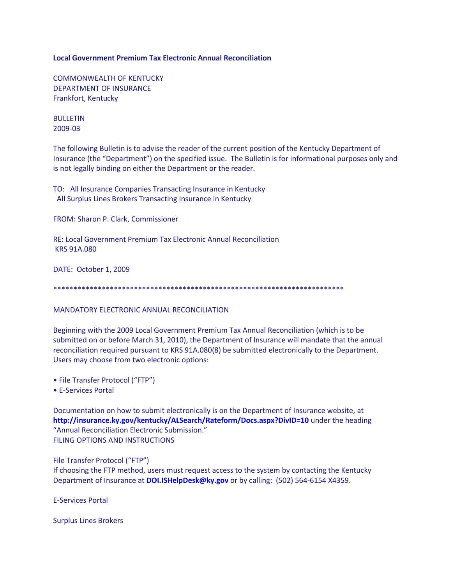## **Local Government Premium Tax Electronic Annual Reconciliation**

COMMONWEALTH OF KENTUCKY DEPARTMENT OF INSURANCE Frankfort, Kentucky

BULLETIN 2009-03

The following Bulletin is to advise the reader of the current position of the Kentucky Department of Insurance (the "Department") on the specified issue. The Bulletin is for informational purposes only and is not legally binding on either the Department or the reader.

TO: All Insurance Companies Transacting Insurance in Kentucky All Surplus Lines Brokers Transacting Insurance in Kentucky

FROM: Sharon P. Clark, Commissioner

RE: Local Government Premium Tax Electronic Annual Reconciliation KRS 91A.080

DATE: October 1, 2009

\*\*\*\*\*\*\*\*\*\*\*\*\*\*\*\*\*\*\*\*\*\*\*\*\*\*\*\*\*\*\*\*\*\*\*\*\*\*\*\*\*\*\*\*\*\*\*\*\*\*\*\*\*\*\*\*\*\*\*\*\*\*\*\*\*\*\*\*\*\*\*\*

MANDATORY ELECTRONIC ANNUAL RECONCILIATION

Beginning with the 2009 Local Government Premium Tax Annual Reconciliation (which is to be submitted on or before March 31, 2010), the Department of Insurance will mandate that the annual reconciliation required pursuant to KRS 91A.080(8) be submitted electronically to the Department. Users may choose from two electronic options:

- File Transfer Protocol ("FTP")
- E-Services Portal

Documentation on how to submit electronically is on the Department of Insurance website, at **<http://insurance.ky.gov/kentucky/ALSearch/Rateform/Docs.aspx?DivID=10>** under the heading "Annual Reconciliation Electronic Submission." FILING OPTIONS AND INSTRUCTIONS

File Transfer Protocol ("FTP")

If choosing the FTP method, users must request access to the system by contacting the Kentucky Department of Insurance at **[DOI.ISHelpDesk@ky.gov](mailto:DOI.ISHelpDesk@ky.gov)** or by calling: (502) 564-6154 X4359.

E-Services Portal

Surplus Lines Brokers